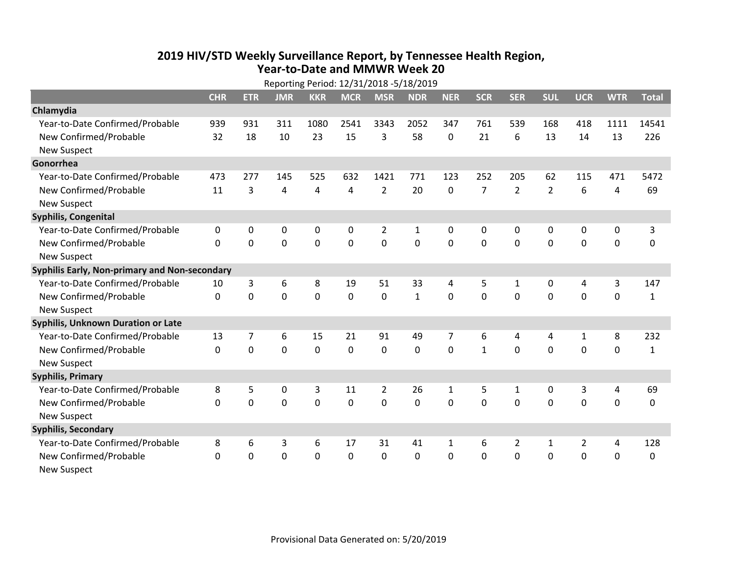## **2019 HIV /STD Weekly Surveillance Report, by Tennessee Health Region, Year‐to‐Date and MMWR Week 20**

|                                               | Reporting Period: 12/31/2018 -5/18/2019 |                |             |                |             |                |              |                |                |                |                |                |             |              |
|-----------------------------------------------|-----------------------------------------|----------------|-------------|----------------|-------------|----------------|--------------|----------------|----------------|----------------|----------------|----------------|-------------|--------------|
|                                               | <b>CHR</b>                              | <b>ETR</b>     | <b>JMR</b>  | <b>KKR</b>     | <b>MCR</b>  | <b>MSR</b>     | <b>NDR</b>   | <b>NER</b>     | <b>SCR</b>     | <b>SER</b>     | <b>SUL</b>     | <b>UCR</b>     | <b>WTR</b>  | <b>Total</b> |
| Chlamydia                                     |                                         |                |             |                |             |                |              |                |                |                |                |                |             |              |
| Year-to-Date Confirmed/Probable               | 939                                     | 931            | 311         | 1080           | 2541        | 3343           | 2052         | 347            | 761            | 539            | 168            | 418            | 1111        | 14541        |
| New Confirmed/Probable                        | 32                                      | 18             | 10          | 23             | 15          | 3              | 58           | $\mathbf{0}$   | 21             | 6              | 13             | 14             | 13          | 226          |
| <b>New Suspect</b>                            |                                         |                |             |                |             |                |              |                |                |                |                |                |             |              |
| Gonorrhea                                     |                                         |                |             |                |             |                |              |                |                |                |                |                |             |              |
| Year-to-Date Confirmed/Probable               | 473                                     | 277            | 145         | 525            | 632         | 1421           | 771          | 123            | 252            | 205            | 62             | 115            | 471         | 5472         |
| New Confirmed/Probable                        | 11                                      | 3              | 4           | 4              | 4           | $\overline{2}$ | 20           | $\mathbf{0}$   | $\overline{7}$ | $\overline{2}$ | $\overline{2}$ | 6              | 4           | 69           |
| <b>New Suspect</b>                            |                                         |                |             |                |             |                |              |                |                |                |                |                |             |              |
| <b>Syphilis, Congenital</b>                   |                                         |                |             |                |             |                |              |                |                |                |                |                |             |              |
| Year-to-Date Confirmed/Probable               | 0                                       | $\mathbf 0$    | $\mathbf 0$ | 0              | 0           | $\overline{2}$ | $\mathbf{1}$ | 0              | $\mathbf{0}$   | 0              | 0              | 0              | $\mathbf 0$ | 3            |
| New Confirmed/Probable                        | $\Omega$                                | 0              | $\mathbf 0$ | 0              | $\mathbf 0$ | 0              | 0            | $\mathbf 0$    | $\mathbf{0}$   | 0              | $\mathbf 0$    | 0              | 0           | 0            |
| <b>New Suspect</b>                            |                                         |                |             |                |             |                |              |                |                |                |                |                |             |              |
| Syphilis Early, Non-primary and Non-secondary |                                         |                |             |                |             |                |              |                |                |                |                |                |             |              |
| Year-to-Date Confirmed/Probable               | 10                                      | 3              | 6           | 8              | 19          | 51             | 33           | 4              | 5              | 1              | 0              | 4              | 3           | 147          |
| New Confirmed/Probable                        | 0                                       | 0              | $\mathbf 0$ | 0              | $\mathbf 0$ | 0              | $\mathbf{1}$ | $\mathbf 0$    | 0              | 0              | $\mathbf 0$    | 0              | $\mathbf 0$ | $\mathbf{1}$ |
| <b>New Suspect</b>                            |                                         |                |             |                |             |                |              |                |                |                |                |                |             |              |
| Syphilis, Unknown Duration or Late            |                                         |                |             |                |             |                |              |                |                |                |                |                |             |              |
| Year-to-Date Confirmed/Probable               | 13                                      | $\overline{7}$ | 6           | 15             | 21          | 91             | 49           | $\overline{7}$ | 6              | 4              | 4              | $\mathbf{1}$   | 8           | 232          |
| New Confirmed/Probable                        | 0                                       | $\mathbf 0$    | $\mathbf 0$ | $\mathbf 0$    | $\mathbf 0$ | $\mathbf 0$    | 0            | $\mathbf 0$    | $\mathbf{1}$   | $\mathbf 0$    | $\mathbf 0$    | $\mathbf 0$    | $\mathbf 0$ | $\mathbf{1}$ |
| <b>New Suspect</b>                            |                                         |                |             |                |             |                |              |                |                |                |                |                |             |              |
| <b>Syphilis, Primary</b>                      |                                         |                |             |                |             |                |              |                |                |                |                |                |             |              |
| Year-to-Date Confirmed/Probable               | 8                                       | 5              | $\mathbf 0$ | 3              | 11          | $\overline{2}$ | 26           | $\mathbf{1}$   | 5              | $\mathbf{1}$   | $\mathbf 0$    | 3              | 4           | 69           |
| New Confirmed/Probable                        | $\mathbf 0$                             | 0              | $\mathbf 0$ | $\overline{0}$ | $\mathbf 0$ | $\overline{0}$ | 0            | $\mathbf 0$    | 0              | $\mathbf 0$    | 0              | $\mathbf 0$    | $\mathbf 0$ | 0            |
| <b>New Suspect</b>                            |                                         |                |             |                |             |                |              |                |                |                |                |                |             |              |
| <b>Syphilis, Secondary</b>                    |                                         |                |             |                |             |                |              |                |                |                |                |                |             |              |
| Year-to-Date Confirmed/Probable               | 8                                       | 6              | 3           | 6              | 17          | 31             | 41           | $\mathbf{1}$   | 6              | $\overline{2}$ | 1              | $\overline{2}$ | 4           | 128          |
| New Confirmed/Probable                        | $\Omega$                                | 0              | 0           | 0              | $\mathbf 0$ | 0              | 0            | $\Omega$       | $\Omega$       | 0              | 0              | 0              | $\mathbf 0$ | $\Omega$     |
| <b>New Suspect</b>                            |                                         |                |             |                |             |                |              |                |                |                |                |                |             |              |